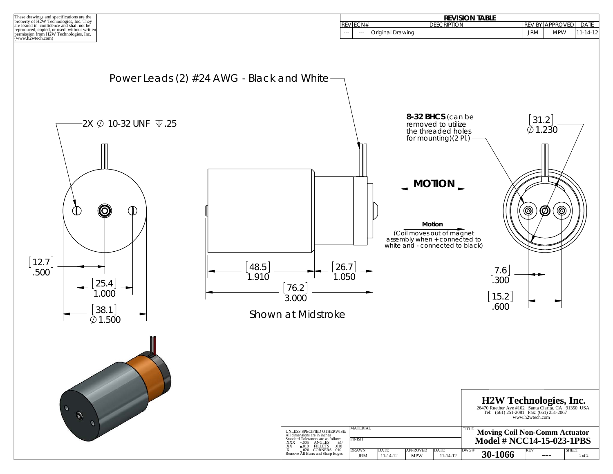